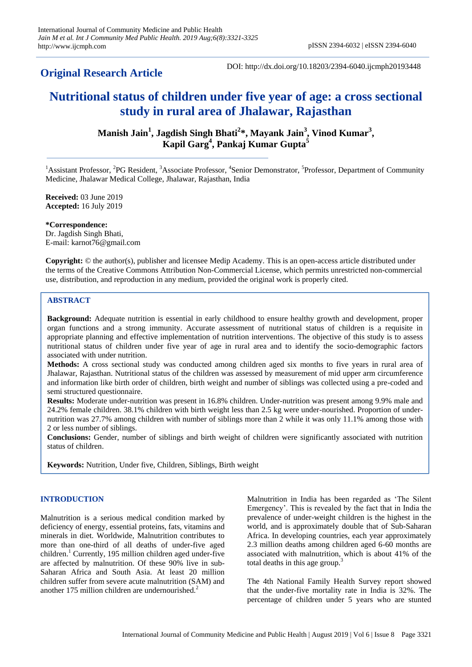**Original Research Article**

DOI: http://dx.doi.org/10.18203/2394-6040.ijcmph20193448

# **Nutritional status of children under five year of age: a cross sectional study in rural area of Jhalawar, Rajasthan**

**Manish Jain<sup>1</sup> , Jagdish Singh Bhati<sup>2</sup> \*, Mayank Jain<sup>3</sup> , Vinod Kumar<sup>3</sup> , Kapil Garg<sup>4</sup> , Pankaj Kumar Gupta<sup>5</sup>**

<sup>1</sup>Assistant Professor, <sup>2</sup>PG Resident, <sup>3</sup>Associate Professor, <sup>4</sup>Senior Demonstrator, <sup>5</sup>Professor, Department of Community Medicine, Jhalawar Medical College, Jhalawar, Rajasthan, India

**Received:** 03 June 2019 **Accepted:** 16 July 2019

**\*Correspondence:** Dr. Jagdish Singh Bhati, E-mail: karnot76@gmail.com

**Copyright:** © the author(s), publisher and licensee Medip Academy. This is an open-access article distributed under the terms of the Creative Commons Attribution Non-Commercial License, which permits unrestricted non-commercial use, distribution, and reproduction in any medium, provided the original work is properly cited.

# **ABSTRACT**

**Background:** Adequate nutrition is essential in early childhood to ensure healthy growth and development, proper organ functions and a strong immunity. Accurate assessment of nutritional status of children is a requisite in appropriate planning and effective implementation of nutrition interventions. The objective of this study is to assess nutritional status of children under five year of age in rural area and to identify the socio-demographic factors associated with under nutrition.

**Methods:** A cross sectional study was conducted among children aged six months to five years in rural area of Jhalawar, Rajasthan. Nutritional status of the children was assessed by measurement of mid upper arm circumference and information like birth order of children, birth weight and number of siblings was collected using a pre-coded and semi structured questionnaire.

**Results:** Moderate under-nutrition was present in 16.8% children. Under-nutrition was present among 9.9% male and 24.2% female children. 38.1% children with birth weight less than 2.5 kg were under-nourished. Proportion of undernutrition was 27.7% among children with number of siblings more than 2 while it was only 11.1% among those with 2 or less number of siblings.

**Conclusions:** Gender, number of siblings and birth weight of children were significantly associated with nutrition status of children.

**Keywords:** Nutrition, Under five, Children, Siblings, Birth weight

# **INTRODUCTION**

Malnutrition is a serious medical condition marked by deficiency of energy, essential proteins, fats, vitamins and minerals in diet. Worldwide, Malnutrition contributes to more than one-third of all deaths of under-five aged children.<sup>1</sup> Currently, 195 million children aged under-five are affected by malnutrition. Of these 90% live in sub-Saharan Africa and South Asia. At least 20 million children suffer from severe acute malnutrition (SAM) and another 175 million children are undernourished. $<sup>2</sup>$ </sup>

Malnutrition in India has been regarded as 'The Silent Emergency'. This is revealed by the fact that in India the prevalence of under-weight children is the highest in the world, and is approximately double that of Sub-Saharan Africa. In developing countries, each year approximately 2.3 million deaths among children aged 6-60 months are associated with malnutrition, which is about 41% of the total deaths in this age group.<sup>3</sup>

The 4th National Family Health Survey report showed that the under-five mortality rate in India is 32%. The percentage of children under 5 years who are stunted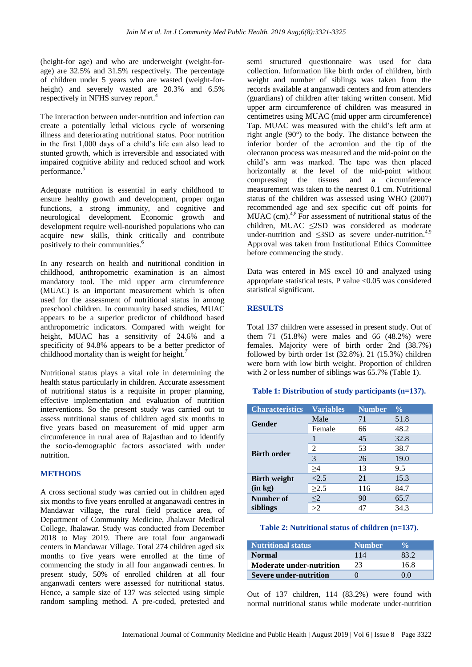(height-for age) and who are underweight (weight-forage) are 32.5% and 31.5% respectively. The percentage of children under 5 years who are wasted (weight-forheight) and severely wasted are 20.3% and 6.5% respectively in NFHS survey report.<sup>4</sup>

The interaction between under-nutrition and infection can create a potentially lethal vicious cycle of worsening illness and deteriorating nutritional status. Poor nutrition in the first 1,000 days of a child's life can also lead to stunted growth, which is irreversible and associated with impaired cognitive ability and reduced school and work performance.<sup>5</sup>

Adequate nutrition is essential in early childhood to ensure healthy growth and development, proper organ functions, a strong immunity, and cognitive and neurological development. Economic growth and development require well-nourished populations who can acquire new skills, think critically and contribute positively to their communities.<sup>6</sup>

In any research on health and nutritional condition in childhood, anthropometric examination is an almost mandatory tool. The mid upper arm circumference (MUAC) is an important measurement which is often used for the assessment of nutritional status in among preschool children. In community based studies, MUAC appears to be a superior predictor of childhood based anthropometric indicators. Compared with weight for height, MUAC has a sensitivity of 24.6% and a specificity of 94.8% appears to be a better predictor of childhood mortality than is weight for height.<sup>7</sup>

Nutritional status plays a vital role in determining the health status particularly in children. Accurate assessment of nutritional status is a requisite in proper planning, effective implementation and evaluation of nutrition interventions. So the present study was carried out to assess nutritional status of children aged six months to five years based on measurement of mid upper arm circumference in rural area of Rajasthan and to identify the socio-demographic factors associated with under nutrition.

# **METHODS**

A cross sectional study was carried out in children aged six months to five years enrolled at anganawadi centres in Mandawar village, the rural field practice area, of Department of Community Medicine, Jhalawar Medical College, Jhalawar. Study was conducted from December 2018 to May 2019. There are total four anganwadi centers in Mandawar Village. Total 274 children aged six months to five years were enrolled at the time of commencing the study in all four anganwadi centres. In present study, 50% of enrolled children at all four anganwadi centers were assessed for nutritional status. Hence, a sample size of 137 was selected using simple random sampling method. A pre-coded, pretested and semi structured questionnaire was used for data collection. Information like birth order of children, birth weight and number of siblings was taken from the records available at anganwadi centers and from attenders (guardians) of children after taking written consent. Mid upper arm circumference of children was measured in centimetres using MUAC (mid upper arm circumference) Tap. MUAC was measured with the child's left arm at right angle (90°) to the body. The distance between the inferior border of the acromion and the tip of the olecranon process was measured and the mid-point on the child's arm was marked. The tape was then placed horizontally at the level of the mid-point without compressing the tissues and a circumference measurement was taken to the nearest 0.1 cm. Nutritional status of the children was assessed using WHO (2007) recommended age and sex specific cut off points for MUAC (cm).<sup>4,8</sup> For assessment of nutritional status of the children, MUAC ≤2SD was considered as moderate under-nutrition and  $\leq$ 3SD as severe under-nutrition.<sup>4,9</sup> Approval was taken from Institutional Ethics Committee before commencing the study.

Data was entered in MS excel 10 and analyzed using appropriate statistical tests. P value <0.05 was considered statistical significant.

# **RESULTS**

Total 137 children were assessed in present study. Out of them 71 (51.8%) were males and 66 (48.2%) were females. Majority were of birth order 2nd (38.7%) followed by birth order 1st (32.8%). 21 (15.3%) children were born with low birth weight. Proportion of children with 2 or less number of siblings was 65.7% (Table 1).

# **Table 1: Distribution of study participants (n=137).**

| <b>Characteristics</b> | <b>Variables</b> | <b>Number</b> | $\frac{0}{0}$ |
|------------------------|------------------|---------------|---------------|
| Gender                 | Male             | 71            | 51.8          |
|                        | Female           | 66            | 48.2          |
| <b>Birth order</b>     |                  | 45            | 32.8          |
|                        | 2                | 53            | 38.7          |
|                        | 3                | 26            | 19.0          |
|                        | >4               | 13            | 9.5           |
| <b>Birth weight</b>    | < 2.5            | 21            | 15.3          |
| (in kg)                | $\geq$ 2.5       | 116           | 84.7          |
| Number of              | $\leq$ 2         | 90            | 65.7          |
| siblings               | >2               | 47            | 34.3          |

#### **Table 2: Nutritional status of children (n=137).**

| <b>Nutritional status</b>       | Number <sup>'</sup> |      |
|---------------------------------|---------------------|------|
| <b>Normal</b>                   | 114                 |      |
| <b>Moderate under-nutrition</b> | 23                  | 16 8 |
| Severe under-nutrition          |                     |      |

Out of 137 children, 114 (83.2%) were found with normal nutritional status while moderate under-nutrition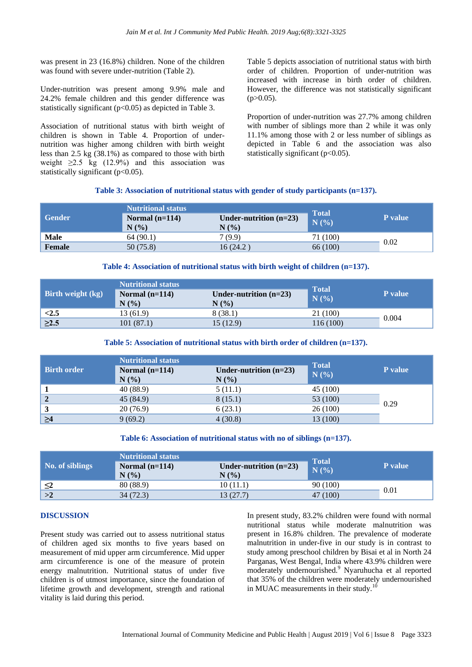was present in 23 (16.8%) children. None of the children was found with severe under-nutrition (Table 2).

Under-nutrition was present among 9.9% male and 24.2% female children and this gender difference was statistically significant (p<0.05) as depicted in Table 3.

Association of nutritional status with birth weight of children is shown in Table 4. Proportion of undernutrition was higher among children with birth weight less than 2.5 kg (38.1%) as compared to those with birth weight  $\geq 2.5$  kg (12.9%) and this association was statistically significant (p<0.05).

Table 5 depicts association of nutritional status with birth order of children. Proportion of under-nutrition was increased with increase in birth order of children. However, the difference was not statistically significant  $(p>0.05)$ .

Proportion of under-nutrition was 27.7% among children with number of siblings more than 2 while it was only 11.1% among those with 2 or less number of siblings as depicted in Table 6 and the association was also statistically significant  $(p<0.05)$ .

#### **Table 3: Association of nutritional status with gender of study participants (n=137).**

|               | <b>Nutritional status</b> | <b>Total</b>             |          |                |
|---------------|---------------------------|--------------------------|----------|----------------|
| <b>Gender</b> | Normal $(n=114)$          | Under-nutrition $(n=23)$ | N(%)     | <b>P</b> value |
|               | N(%)                      | N(%                      |          |                |
| Male          | 64(90.1)                  | 7(9.9)                   | 71 (100) |                |
| <b>Female</b> | 50(75.8)                  | 16 (24.2)                | 66 (100) | 0.02           |

#### **Table 4: Association of nutritional status with birth weight of children (n=137).**

|                          | <b>Nutritional status</b> |                          |                      |                |
|--------------------------|---------------------------|--------------------------|----------------------|----------------|
| <b>Birth weight (kg)</b> | Normal $(n=114)$          | Under-nutrition $(n=23)$ | <b>Total</b><br>N(%) | <b>P</b> value |
|                          | N(%)                      | $N(\%)$                  |                      |                |
| < 2.5                    | 13 (61.9)                 | 8(38.1)                  | 21 (100)             | 0.004          |
| $\geq$ 2.5               | 101(87.1)                 | 15 (12.9)                | 116 (100)            |                |

#### **Table 5: Association of nutritional status with birth order of children (n=137).**

|                    | <b>Nutritional status</b> |                                     | <b>Total</b> |         |
|--------------------|---------------------------|-------------------------------------|--------------|---------|
| <b>Birth order</b> | Normal $(n=114)$<br>N(%)  | Under-nutrition $(n=23)$<br>$N(\%)$ | N(%)         | P value |
|                    | 40 (88.9)                 | 5(11.1)                             | 45 (100)     |         |
| $\overline{2}$     | 45(84.9)                  | 8(15.1)                             | 53 (100)     |         |
| 3                  | 20(76.9)                  | 6(23.1)                             | 26(100)      | 0.29    |
| $\geq 4$           | 9(69.2)                   | 4(30.8)                             | 13 (100)     |         |

#### **Table 6: Association of nutritional status with no of siblings (n=137).**

|                 | <b>Nutritional status</b> | <b>Total</b>                     |          |                |
|-----------------|---------------------------|----------------------------------|----------|----------------|
| No. of siblings | Normal $(n=114)$<br>N(%)  | Under-nutrition $(n=23)$<br>N(%) | N(%      | <b>P</b> value |
| $\leq$ 2        | 80 (88.9)                 | 10(11.1)                         | 90 (100) | 0.01           |
| >2              | 34 (72.3)                 | 13 (27.7)                        | 47 (100) |                |

#### **DISCUSSION**

Present study was carried out to assess nutritional status of children aged six months to five years based on measurement of mid upper arm circumference. Mid upper arm circumference is one of the measure of protein energy malnutrition. Nutritional status of under five children is of utmost importance, since the foundation of lifetime growth and development, strength and rational vitality is laid during this period.

In present study, 83.2% children were found with normal nutritional status while moderate malnutrition was present in 16.8% children. The prevalence of moderate malnutrition in under-five in our study is in contrast to study among preschool children by Bisai et al in North 24 Parganas, West Bengal, India where 43.9% children were moderately undernourished.<sup>9</sup> Nyaruhucha et al reported that 35% of the children were moderately undernourished in MUAC measurements in their study.<sup>10</sup>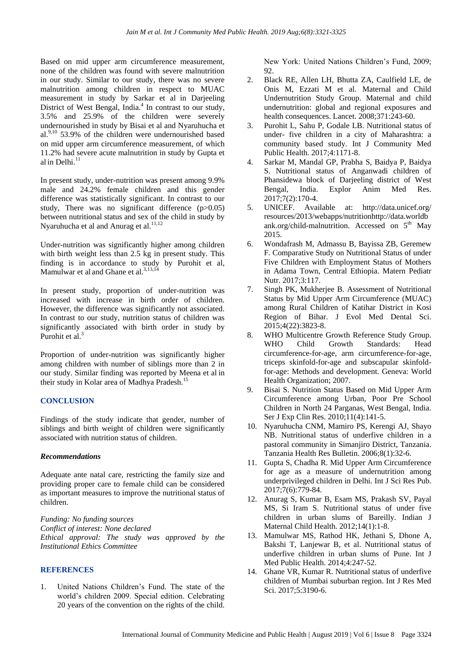Based on mid upper arm circumference measurement, none of the children was found with severe malnutrition in our study. Similar to our study, there was no severe malnutrition among children in respect to MUAC measurement in study by Sarkar et al in Darjeeling District of West Bengal, India.<sup>4</sup> In contrast to our study, 3.5% and 25.9% of the children were severely undernourished in study by Bisai et al and Nyaruhucha et al. $9,10$  53.9% of the children were undernourished based on mid upper arm circumference measurement, of which 11.2% had severe acute malnutrition in study by Gupta et al in Delhi. $^{11}$ 

In present study, under-nutrition was present among 9.9% male and 24.2% female children and this gender difference was statistically significant. In contrast to our study, There was no significant difference (p>0.05) between nutritional status and sex of the child in study by Nyaruhucha et al and Anurag et al.<sup>11,12</sup>

Under-nutrition was significantly higher among children with birth weight less than 2.5 kg in present study. This finding is in accordance to study by Purohit et al, Mamulwar et al and Ghane et al.<sup>3,13,14</sup>

In present study, proportion of under-nutrition was increased with increase in birth order of children. However, the difference was significantly not associated. In contrast to our study, nutrition status of children was significantly associated with birth order in study by Purohit et al.<sup>3</sup>

Proportion of under-nutrition was significantly higher among children with number of siblings more than 2 in our study. Similar finding was reported by Meena et al in their study in Kolar area of Madhya Pradesh.<sup>15</sup>

# **CONCLUSION**

Findings of the study indicate that gender, number of siblings and birth weight of children were significantly associated with nutrition status of children.

#### *Recommendations*

Adequate ante natal care, restricting the family size and providing proper care to female child can be considered as important measures to improve the nutritional status of children.

*Funding: No funding sources Conflict of interest: None declared Ethical approval: The study was approved by the Institutional Ethics Committee*

# **REFERENCES**

1. United Nations Children's Fund. The state of the world's children 2009. Special edition. Celebrating 20 years of the convention on the rights of the child.

New York: United Nations Children's Fund, 2009; 92.

- 2. Black RE, Allen LH, Bhutta ZA, Caulfield LE, de Onis M, Ezzati M et al. Maternal and Child Undernutrition Study Group. Maternal and child undernutrition: global and regional exposures and health consequences. Lancet. 2008;371:243-60.
- 3. Purohit L, Sahu P, Godale LB. Nutritional status of under- five children in a city of Maharashtra: a community based study. Int J Community Med Public Health. 2017;4:1171-8.
- 4. Sarkar M, Mandal GP, Prabha S, Baidya P, Baidya S. Nutritional status of Anganwadi children of Phansidewa block of Darjeeling district of West Bengal, India. Explor Anim Med Res. 2017;7(2):170-4.
- 5. UNICEF. Available at: http://data.unicef.org/ resources/2013/webapps/nutritionhttp://data.worldb ank.org/child-malnutrition. Accessed on  $5<sup>th</sup>$  May 2015.
- 6. Wondafrash M, Admassu B, Bayissa ZB, Geremew F. Comparative Study on Nutritional Status of under Five Children with Employment Status of Mothers in Adama Town, Central Ethiopia. Matern Pediatr Nutr. 2017;3:117.
- 7. Singh PK, Mukherjee B. Assessment of Nutritional Status by Mid Upper Arm Circumference (MUAC) among Rural Children of Katihar District in Kosi Region of Bihar. J Evol Med Dental Sci. 2015;4(22):3823-8.
- 8. WHO Multicentre Growth Reference Study Group. WHO Child Growth Standards: Head circumference-for-age, arm circumference-for-age, triceps skinfold-for-age and subscapular skinfoldfor-age: Methods and development. Geneva: World Health Organization; 2007.
- 9. Bisai S. Nutrition Status Based on Mid Upper Arm Circumference among Urban, Poor Pre School Children in North 24 Parganas, West Bengal, India. Ser J Exp Clin Res. 2010;11(4):141-5.
- 10. Nyaruhucha CNM, Mamiro PS, Kerengi AJ, Shayo NB. Nutritional status of underfive children in a pastoral community in Simanjiro District, Tanzania. Tanzania Health Res Bulletin. 2006;8(1):32-6.
- 11. Gupta S, Chadha R. Mid Upper Arm Circumference for age as a measure of undernutrition among underprivileged children in Delhi. Int J Sci Res Pub. 2017;7(6):779-84.
- 12. Anurag S, Kumar B, Esam MS, Prakash SV, Payal MS, Si Iram S. Nutritional status of under five children in urban slums of Bareilly. Indian J Maternal Child Health. 2012;14(1):1-8.
- 13. Mamulwar MS, Rathod HK, Jethani S, Dhone A, Bakshi T, Lanjewar B, et al. Nutritional status of underfive children in urban slums of Pune. Int J Med Public Health. 2014;4:247-52.
- 14. Ghane VR, Kumar R. Nutritional status of underfive children of Mumbai suburban region. Int J Res Med Sci. 2017;5:3190-6.